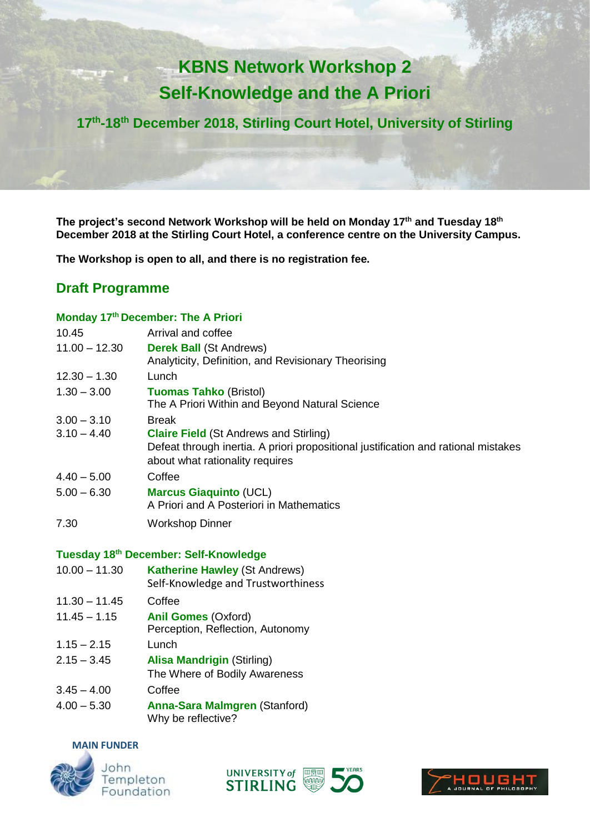# **KBNS Network Workshop 2 Self-Knowledge and the A Priori**

**17th -18th December 2018, Stirling Court Hotel, University of Stirling**

**The project's second Network Workshop will be held on Monday 17th and Tuesday 18th December 2018 at the Stirling Court Hotel, a conference centre on the University Campus.** 

**The Workshop is open to all, and there is no registration fee.** 

## **Draft Programme**

## **Monday 17th December: The A Priori**

| 10.45           | Arrival and coffee                                                                 |
|-----------------|------------------------------------------------------------------------------------|
| $11.00 - 12.30$ | <b>Derek Ball (St Andrews)</b>                                                     |
|                 | Analyticity, Definition, and Revisionary Theorising                                |
| $12.30 - 1.30$  | Lunch                                                                              |
| $1.30 - 3.00$   | <b>Tuomas Tahko (Bristol)</b>                                                      |
|                 | The A Priori Within and Beyond Natural Science                                     |
| $3.00 - 3.10$   | <b>Break</b>                                                                       |
| $3.10 - 4.40$   | <b>Claire Field (St Andrews and Stirling)</b>                                      |
|                 | Defeat through inertia. A priori propositional justification and rational mistakes |
|                 | about what rationality requires                                                    |
| $4.40 - 5.00$   | Coffee                                                                             |
| $5.00 - 6.30$   | <b>Marcus Giaquinto (UCL)</b>                                                      |
|                 | A Priori and A Posteriori in Mathematics                                           |
| 7.30            | <b>Workshop Dinner</b>                                                             |

## **Tuesday 18th December: Self-Knowledge**

|                 | <b>I UCSUAY TO DECEMBER. OCH-INTOWICAGE</b>                                |
|-----------------|----------------------------------------------------------------------------|
| $10.00 - 11.30$ | <b>Katherine Hawley (St Andrews)</b><br>Self-Knowledge and Trustworthiness |
| $11.30 - 11.45$ | Coffee                                                                     |
| $11.45 - 1.15$  | <b>Anil Gomes (Oxford)</b><br>Perception, Reflection, Autonomy             |
| $1.15 - 2.15$   | Lunch                                                                      |
| $2.15 - 3.45$   | <b>Alisa Mandrigin (Stirling)</b><br>The Where of Bodily Awareness         |
| $3.45 - 4.00$   | Coffee                                                                     |
| $4.00 - 5.30$   | <b>Anna-Sara Malmgren (Stanford)</b><br>Why be reflective?                 |

#### **MAIN FUNDER**







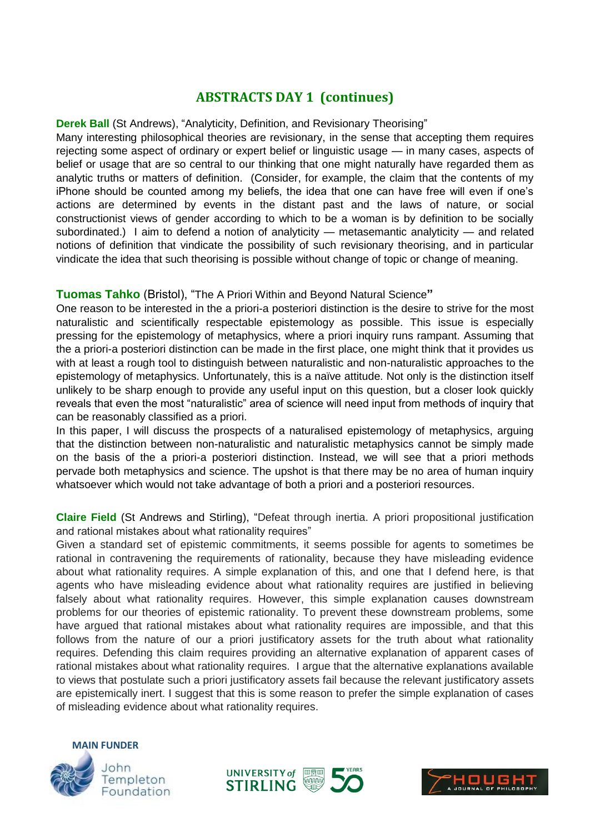## **ABSTRACTS DAY 1 (continues)**

#### **Derek Ball** (St Andrews), "Analyticity, Definition, and Revisionary Theorising"

Many interesting philosophical theories are revisionary, in the sense that accepting them requires rejecting some aspect of ordinary or expert belief or linguistic usage — in many cases, aspects of belief or usage that are so central to our thinking that one might naturally have regarded them as analytic truths or matters of definition. (Consider, for example, the claim that the contents of my iPhone should be counted among my beliefs, the idea that one can have free will even if one's actions are determined by events in the distant past and the laws of nature, or social constructionist views of gender according to which to be a woman is by definition to be socially subordinated.) I aim to defend a notion of analyticity — metasemantic analyticity — and related notions of definition that vindicate the possibility of such revisionary theorising, and in particular vindicate the idea that such theorising is possible without change of topic or change of meaning.

## **Tuomas Tahko** (Bristol), "The A Priori Within and Beyond Natural Science**"**

One reason to be interested in the a priori-a posteriori distinction is the desire to strive for the most naturalistic and scientifically respectable epistemology as possible. This issue is especially pressing for the epistemology of metaphysics, where a priori inquiry runs rampant. Assuming that the a priori-a posteriori distinction can be made in the first place, one might think that it provides us with at least a rough tool to distinguish between naturalistic and non-naturalistic approaches to the epistemology of metaphysics. Unfortunately, this is a naïve attitude. Not only is the distinction itself unlikely to be sharp enough to provide any useful input on this question, but a closer look quickly reveals that even the most "naturalistic" area of science will need input from methods of inquiry that can be reasonably classified as a priori.

In this paper, I will discuss the prospects of a naturalised epistemology of metaphysics, arguing that the distinction between non-naturalistic and naturalistic metaphysics cannot be simply made on the basis of the a priori-a posteriori distinction. Instead, we will see that a priori methods pervade both metaphysics and science. The upshot is that there may be no area of human inquiry whatsoever which would not take advantage of both a priori and a posteriori resources.

**Claire Field** (St Andrews and Stirling), "Defeat through inertia. A priori propositional justification and rational mistakes about what rationality requires"

Given a standard set of epistemic commitments, it seems possible for agents to sometimes be rational in contravening the requirements of rationality, because they have misleading evidence about what rationality requires. A simple explanation of this, and one that I defend here, is that agents who have misleading evidence about what rationality requires are justified in believing falsely about what rationality requires. However, this simple explanation causes downstream problems for our theories of epistemic rationality. To prevent these downstream problems, some have argued that rational mistakes about what rationality requires are impossible, and that this follows from the nature of our a priori justificatory assets for the truth about what rationality requires. Defending this claim requires providing an alternative explanation of apparent cases of rational mistakes about what rationality requires. I argue that the alternative explanations available to views that postulate such a priori justificatory assets fail because the relevant justificatory assets are epistemically inert. I suggest that this is some reason to prefer the simple explanation of cases of misleading evidence about what rationality requires.





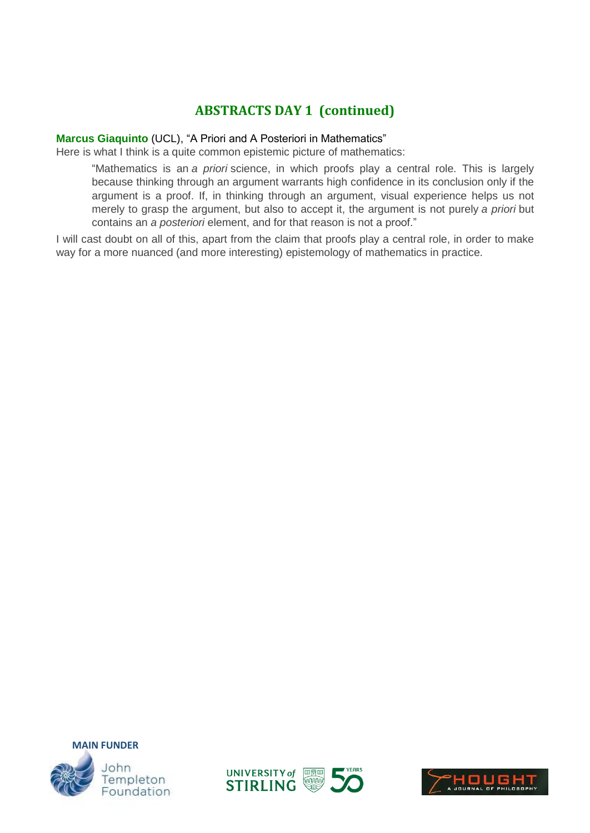# **ABSTRACTS DAY 1 (continued)**

### **Marcus Giaquinto** (UCL), "A Priori and A Posteriori in Mathematics"

Here is what I think is a quite common epistemic picture of mathematics:

"Mathematics is an *a priori* science, in which proofs play a central role. This is largely because thinking through an argument warrants high confidence in its conclusion only if the argument is a proof. If, in thinking through an argument, visual experience helps us not merely to grasp the argument, but also to accept it, the argument is not purely *a priori* but contains an *a posteriori* element, and for that reason is not a proof."

I will cast doubt on all of this, apart from the claim that proofs play a central role, in order to make way for a more nuanced (and more interesting) epistemology of mathematics in practice.





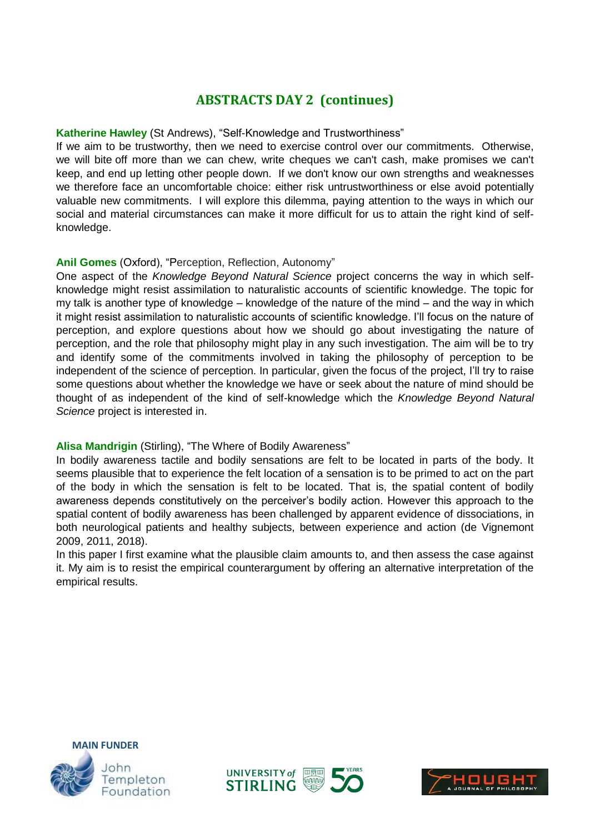# **ABSTRACTS DAY 2 (continues)**

## **Katherine Hawley** (St Andrews), "Self-Knowledge and Trustworthiness"

If we aim to be trustworthy, then we need to exercise control over our commitments. Otherwise, we will bite off more than we can chew, write cheques we can't cash, make promises we can't keep, and end up letting other people down. If we don't know our own strengths and weaknesses we therefore face an uncomfortable choice: either risk untrustworthiness or else avoid potentially valuable new commitments. I will explore this dilemma, paying attention to the ways in which our social and material circumstances can make it more difficult for us to attain the right kind of selfknowledge.

### **Anil Gomes** (Oxford), "Perception, Reflection, Autonomy"

One aspect of the *Knowledge Beyond Natural Science* project concerns the way in which selfknowledge might resist assimilation to naturalistic accounts of scientific knowledge. The topic for my talk is another type of knowledge – knowledge of the nature of the mind – and the way in which it might resist assimilation to naturalistic accounts of scientific knowledge. I'll focus on the nature of perception, and explore questions about how we should go about investigating the nature of perception, and the role that philosophy might play in any such investigation. The aim will be to try and identify some of the commitments involved in taking the philosophy of perception to be independent of the science of perception. In particular, given the focus of the project, I'll try to raise some questions about whether the knowledge we have or seek about the nature of mind should be thought of as independent of the kind of self-knowledge which the *Knowledge Beyond Natural Science* project is interested in.

## **Alisa Mandrigin** (Stirling), "The Where of Bodily Awareness"

In bodily awareness tactile and bodily sensations are felt to be located in parts of the body. It seems plausible that to experience the felt location of a sensation is to be primed to act on the part of the body in which the sensation is felt to be located. That is, the spatial content of bodily awareness depends constitutively on the perceiver's bodily action. However this approach to the spatial content of bodily awareness has been challenged by apparent evidence of dissociations, in both neurological patients and healthy subjects, between experience and action (de Vignemont 2009, 2011, 2018).

In this paper I first examine what the plausible claim amounts to, and then assess the case against it. My aim is to resist the empirical counterargument by offering an alternative interpretation of the empirical results.





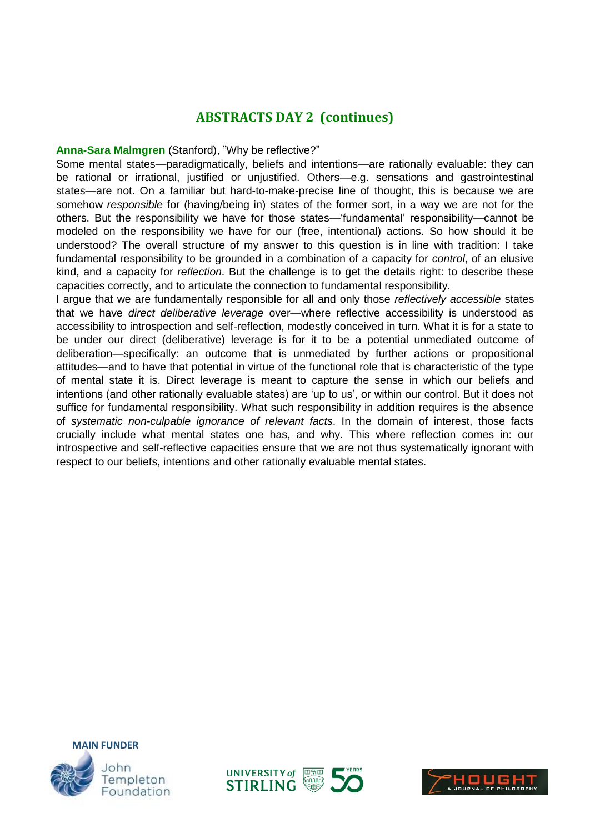## **ABSTRACTS DAY 2 (continues)**

#### **Anna-Sara Malmgren** (Stanford), "Why be reflective?"

Some mental states—paradigmatically, beliefs and intentions—are rationally evaluable: they can be rational or irrational, justified or unjustified. Others—e.g. sensations and gastrointestinal states—are not. On a familiar but hard-to-make-precise line of thought, this is because we are somehow *responsible* for (having/being in) states of the former sort, in a way we are not for the others. But the responsibility we have for those states—'fundamental' responsibility—cannot be modeled on the responsibility we have for our (free, intentional) actions. So how should it be understood? The overall structure of my answer to this question is in line with tradition: I take fundamental responsibility to be grounded in a combination of a capacity for *control*, of an elusive kind, and a capacity for *reflection*. But the challenge is to get the details right: to describe these capacities correctly, and to articulate the connection to fundamental responsibility.

I argue that we are fundamentally responsible for all and only those *reflectively accessible* states that we have *direct deliberative leverage* over—where reflective accessibility is understood as accessibility to introspection and self-reflection, modestly conceived in turn. What it is for a state to be under our direct (deliberative) leverage is for it to be a potential unmediated outcome of deliberation—specifically: an outcome that is unmediated by further actions or propositional attitudes—and to have that potential in virtue of the functional role that is characteristic of the type of mental state it is. Direct leverage is meant to capture the sense in which our beliefs and intentions (and other rationally evaluable states) are 'up to us', or within our control. But it does not suffice for fundamental responsibility. What such responsibility in addition requires is the absence of *systematic non-culpable ignorance of relevant facts*. In the domain of interest, those facts crucially include what mental states one has, and why. This where reflection comes in: our introspective and self-reflective capacities ensure that we are not thus systematically ignorant with respect to our beliefs, intentions and other rationally evaluable mental states.





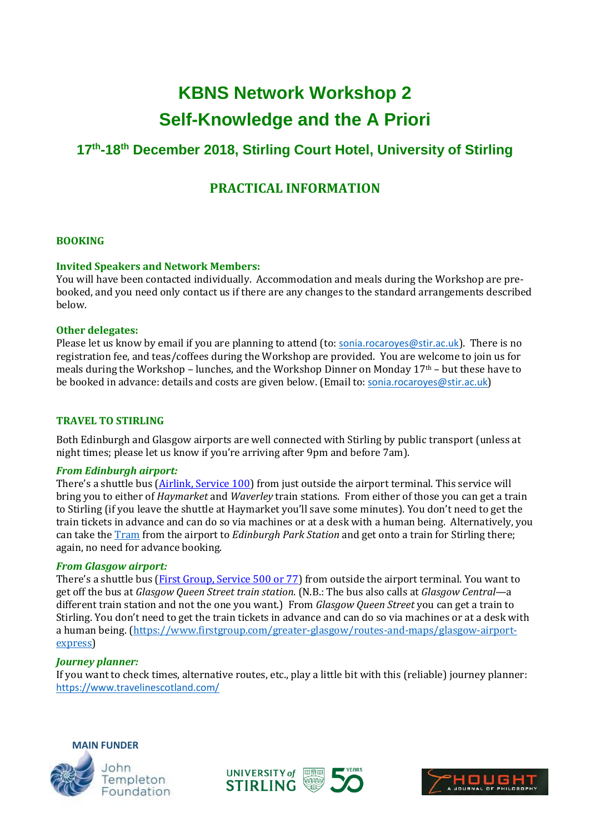# **KBNS Network Workshop 2 Self-Knowledge and the A Priori**

# **17th -18th December 2018, Stirling Court Hotel, University of Stirling**

# **PRACTICAL INFORMATION**

#### **BOOKING**

#### **Invited Speakers and Network Members:**

You will have been contacted individually. Accommodation and meals during the Workshop are prebooked, and you need only contact us if there are any changes to the standard arrangements described below.

#### **Other delegates:**

Please let us know by email if you are planning to attend (to: [sonia.rocaroyes@stir.ac.uk](mailto:sonia.rocaroyes@stir.ac.uk)). There is no registration fee, and teas/coffees during the Workshop are provided. You are welcome to join us for meals during the Workshop – lunches, and the Workshop Dinner on Monday  $17<sup>th</sup>$  – but these have to be booked in advance: details and costs are given below. (Email to: [sonia.rocaroyes@stir.ac.uk](mailto:sonia.rocaroyes@stir.ac.uk))

#### **TRAVEL TO STIRLING**

Both Edinburgh and Glasgow airports are well connected with Stirling by public transport (unless at night times; please let us know if you're arriving after 9pm and before 7am).

#### *From Edinburgh airport:*

There's a shuttle bus (**Airlink, Service 100**) from just outside the airport terminal. This service will bring you to either of *Haymarket* and *Waverley* train stations. From either of those you can get a train to Stirling (if you leave the shuttle at Haymarket you'll save some minutes). You don't need to get the train tickets in advance and can do so via machines or at a desk with a human being. Alternatively, you can take th[e Tram](https://edinburghtrams.com/) from the airport to *Edinburgh Park Station* and get onto a train for Stirling there; again, no need for advance booking.

#### *From Glasgow airport:*

There's a shuttle bus (*First Group, Service 500 or 77*) from outside the airport terminal. You want to get off the bus at *Glasgow Queen Street train station*. (N.B.: The bus also calls at *Glasgow Central*—a different train station and not the one you want.) From *Glasgow Queen Street* you can get a train to Stirling. You don't need to get the train tickets in advance and can do so via machines or at a desk with a human being. [\(https://www.firstgroup.com/greater-glasgow/routes-and-maps/glasgow-airport](https://www.firstgroup.com/greater-glasgow/routes-and-maps/glasgow-airport-express)[express\)](https://www.firstgroup.com/greater-glasgow/routes-and-maps/glasgow-airport-express)

#### *Journey planner:*

If you want to check times, alternative routes, etc., play a little bit with this (reliable) journey planner: <https://www.travelinescotland.com/>





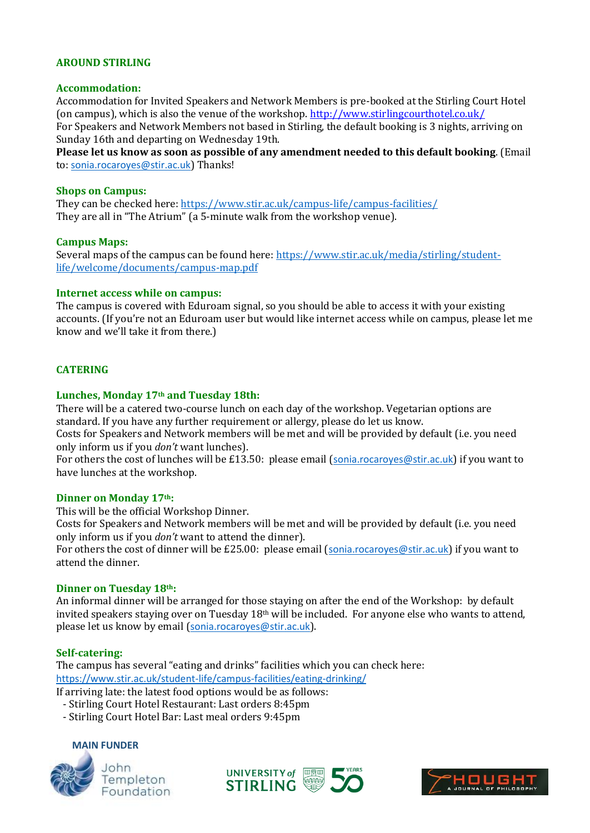#### **AROUND STIRLING**

#### **Accommodation:**

Accommodation for Invited Speakers and Network Members is pre-booked at the Stirling Court Hotel (on campus), which is also the venue of the workshop.<http://www.stirlingcourthotel.co.uk/> For Speakers and Network Members not based in Stirling, the default booking is 3 nights, arriving on Sunday 16th and departing on Wednesday 19th.

**Please let us know as soon as possible of any amendment needed to this default booking**. (Email to: [sonia.rocaroyes@stir.ac.uk](mailto:sonia.rocaroyes@stir.ac.uk)) Thanks!

#### **Shops on Campus:**

They can be checked here[: https://www.stir.ac.uk/campus-life/campus-facilities/](https://www.stir.ac.uk/campus-life/campus-facilities/) They are all in "The Atrium" (a 5-minute walk from the workshop venue).

#### **Campus Maps:**

Several maps of the campus can be found here[: https://www.stir.ac.uk/media/stirling/student](https://www.stir.ac.uk/media/stirling/student-life/welcome/documents/campus-map.pdf)[life/welcome/documents/campus-map.pdf](https://www.stir.ac.uk/media/stirling/student-life/welcome/documents/campus-map.pdf)

#### **Internet access while on campus:**

The campus is covered with Eduroam signal, so you should be able to access it with your existing accounts. (If you're not an Eduroam user but would like internet access while on campus, please let me know and we'll take it from there.)

#### **CATERING**

#### **Lunches, Monday 17th and Tuesday 18th:**

There will be a catered two-course lunch on each day of the workshop. Vegetarian options are standard. If you have any further requirement or allergy, please do let us know.

Costs for Speakers and Network members will be met and will be provided by default (i.e. you need only inform us if you *don't* want lunches).

For others the cost of lunches will be £13.50: please email ([sonia.rocaroyes@stir.ac.uk](mailto:sonia.rocaroyes@stir.ac.uk)) if you want to have lunches at the workshop.

#### **Dinner on Monday 17th:**

This will be the official Workshop Dinner.

Costs for Speakers and Network members will be met and will be provided by default (i.e. you need only inform us if you *don't* want to attend the dinner).

For others the cost of dinner will be £25.00: please email ([sonia.rocaroyes@stir.ac.uk](mailto:sonia.rocaroyes@stir.ac.uk)) if you want to attend the dinner.

#### **Dinner on Tuesday 18th:**

An informal dinner will be arranged for those staying on after the end of the Workshop: by default invited speakers staying over on Tuesday 18<sup>th</sup> will be included. For anyone else who wants to attend, please let us know by email ([sonia.rocaroyes@stir.ac.uk](mailto:sonia.rocaroyes@stir.ac.uk)).

#### **Self-catering:**

The campus has several "eating and drinks" facilities which you can check here: <https://www.stir.ac.uk/student-life/campus-facilities/eating-drinking/> If arriving late: the latest food options would be as follows:

- Stirling Court Hotel Restaurant: Last orders 8:45pm
- Stirling Court Hotel Bar: Last meal orders 9:45pm

#### **MAIN FUNDER**